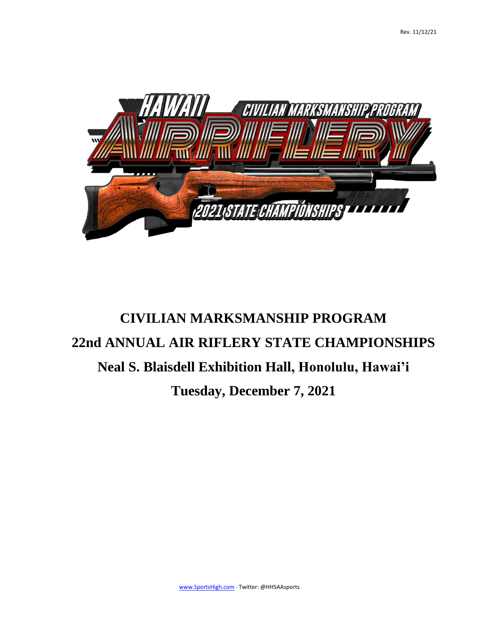

# **CIVILIAN MARKSMANSHIP PROGRAM 22nd ANNUAL AIR RIFLERY STATE CHAMPIONSHIPS Neal S. Blaisdell Exhibition Hall, Honolulu, Hawai'i Tuesday, December 7, 2021**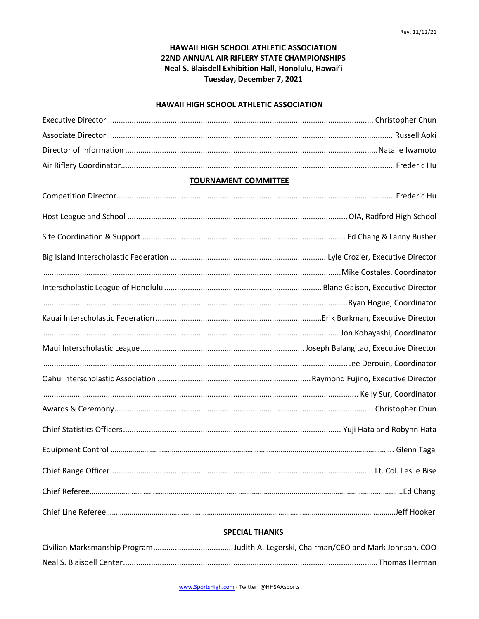# **HAWAII HIGH SCHOOL ATHLETIC ASSOCIATION 22ND ANNUAL AIR RIFLERY STATE CHAMPIONSHIPS Neal S. Blaisdell Exhibition Hall, Honolulu, Hawai'i Tuesday, December 7, 2021**

#### **HAWAII HIGH SCHOOL ATHLETIC ASSOCIATION**

## **TOURNAMENT COMMITTEE**

## **SPECIAL THANKS**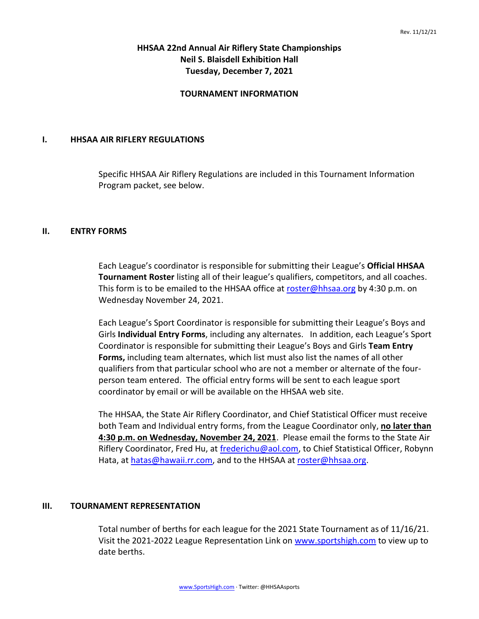# **HHSAA 22nd Annual Air Riflery State Championships Neil S. Blaisdell Exhibition Hall Tuesday, December 7, 2021**

## **TOURNAMENT INFORMATION**

## **I. HHSAA AIR RIFLERY REGULATIONS**

Specific HHSAA Air Riflery Regulations are included in this Tournament Information Program packet, see below.

## **II. ENTRY FORMS**

Each League's coordinator is responsible for submitting their League's **Official HHSAA Tournament Roster** listing all of their league's qualifiers, competitors, and all coaches. This form is to be emailed to the HHSAA office at [roster@hhsaa.org](mailto:roster@hhsaa.org) by 4:30 p.m. on Wednesday November 24, 2021.

Each League's Sport Coordinator is responsible for submitting their League's Boys and Girls **Individual Entry Forms**, including any alternates. In addition, each League's Sport Coordinator is responsible for submitting their League's Boys and Girls **Team Entry Forms,** including team alternates, which list must also list the names of all other qualifiers from that particular school who are not a member or alternate of the fourperson team entered. The official entry forms will be sent to each league sport coordinator by email or will be available on the HHSAA web site.

The HHSAA, the State Air Riflery Coordinator, and Chief Statistical Officer must receive both Team and Individual entry forms, from the League Coordinator only, **no later than 4:30 p.m. on Wednesday, November 24, 2021**. Please email the forms to the State Air Riflery Coordinator, Fred Hu, at [frederichu@aol.com,](mailto:frederichu@aol.com) to Chief Statistical Officer, Robynn Hata, at [hatas@hawaii.rr.com,](mailto:hatas@microsoft.com) and to the HHSAA at [roster@hhsaa.org.](mailto:roster@hhsaa.org)

### **III. TOURNAMENT REPRESENTATION**

Total number of berths for each league for the 2021 State Tournament as of 11/16/21. Visit the 2021-2022 League Representation Link on [www.sportshigh.com](http://www.sportshigh.com/) to view up to date berths.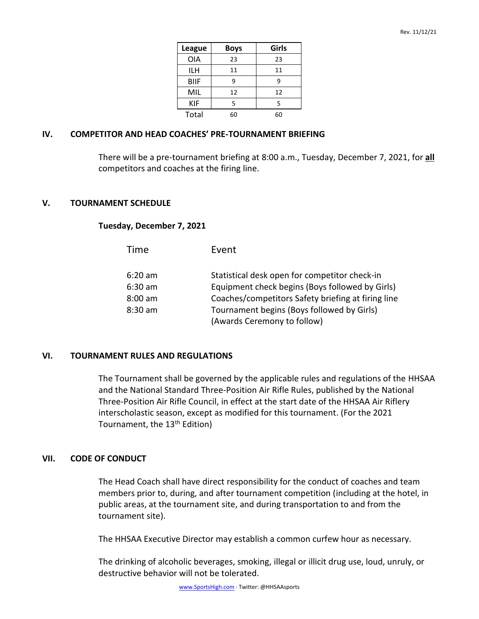| <b>League</b> | <b>Boys</b> | Girls |
|---------------|-------------|-------|
| <b>OIA</b>    | 23          | 23    |
| ILH           | 11          | 11    |
| <b>BIIF</b>   | ٩           | ٩     |
| MIL           | 12          | 12    |
| KIF           | 5           | 5     |
| Total         | 60          | 60    |

## **IV. COMPETITOR AND HEAD COACHES' PRE-TOURNAMENT BRIEFING**

There will be a pre-tournament briefing at 8:00 a.m., Tuesday, December 7, 2021, for **all** competitors and coaches at the firing line.

## **V. TOURNAMENT SCHEDULE**

## **Tuesday, December 7, 2021**

| Time      | Event                                              |
|-----------|----------------------------------------------------|
| $6:20$ am | Statistical desk open for competitor check-in      |
| $6:30$ am | Equipment check begins (Boys followed by Girls)    |
| $8:00$ am | Coaches/competitors Safety briefing at firing line |
| $8:30$ am | Tournament begins (Boys followed by Girls)         |
|           | (Awards Ceremony to follow)                        |

### **VI. TOURNAMENT RULES AND REGULATIONS**

The Tournament shall be governed by the applicable rules and regulations of the HHSAA and the National Standard Three-Position Air Rifle Rules, published by the National Three-Position Air Rifle Council, in effect at the start date of the HHSAA Air Riflery interscholastic season, except as modified for this tournament. (For the 2021 Tournament, the 13<sup>th</sup> Edition)

## **VII. CODE OF CONDUCT**

The Head Coach shall have direct responsibility for the conduct of coaches and team members prior to, during, and after tournament competition (including at the hotel, in public areas, at the tournament site, and during transportation to and from the tournament site).

The HHSAA Executive Director may establish a common curfew hour as necessary.

The drinking of alcoholic beverages, smoking, illegal or illicit drug use, loud, unruly, or destructive behavior will not be tolerated.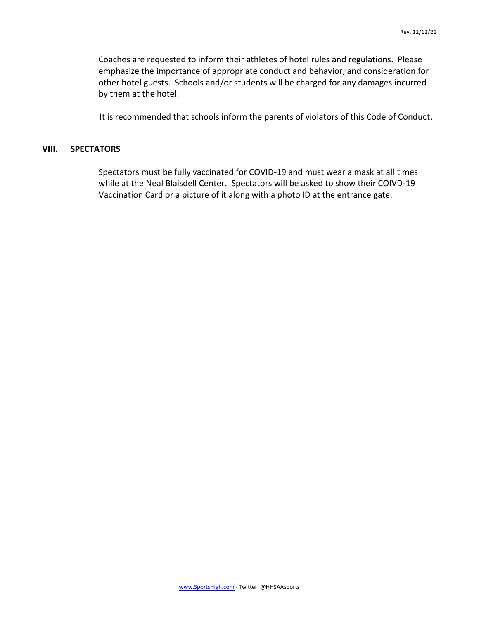Coaches are requested to inform their athletes of hotel rules and regulations. Please emphasize the importance of appropriate conduct and behavior, and consideration for other hotel guests. Schools and/or students will be charged for any damages incurred by them at the hotel.

It is recommended that schools inform the parents of violators of this Code of Conduct.

## **VIII. SPECTATORS**

Spectators must be fully vaccinated for COVID-19 and must wear a mask at all times while at the Neal Blaisdell Center. Spectators will be asked to show their COIVD-19 Vaccination Card or a picture of it along with a photo ID at the entrance gate.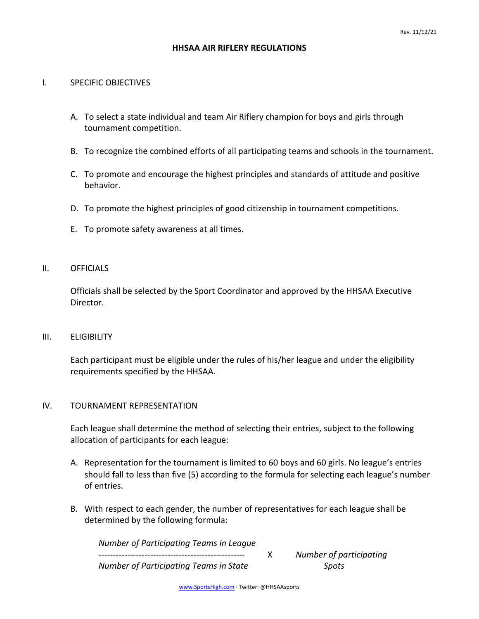## **HHSAA AIR RIFLERY REGULATIONS**

## I. SPECIFIC OBJECTIVES

- A. To select a state individual and team Air Riflery champion for boys and girls through tournament competition.
- B. To recognize the combined efforts of all participating teams and schools in the tournament.
- C. To promote and encourage the highest principles and standards of attitude and positive behavior.
- D. To promote the highest principles of good citizenship in tournament competitions.
- E. To promote safety awareness at all times.

### II. OFFICIALS

Officials shall be selected by the Sport Coordinator and approved by the HHSAA Executive Director.

## III. ELIGIBILITY

Each participant must be eligible under the rules of his/her league and under the eligibility requirements specified by the HHSAA.

## IV. TOURNAMENT REPRESENTATION

Each league shall determine the method of selecting their entries, subject to the following allocation of participants for each league:

- A. Representation for the tournament is limited to 60 boys and 60 girls. No league's entries should fall to less than five (5) according to the formula for selecting each league's number of entries.
- B. With respect to each gender, the number of representatives for each league shall be determined by the following formula:

*Number of Participating Teams in League ---------------------------------------------------* X *Number of participating Number of Participating Teams in State Spots*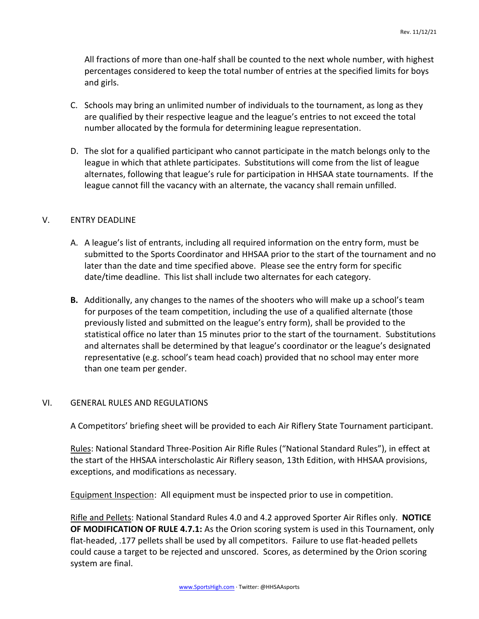All fractions of more than one-half shall be counted to the next whole number, with highest percentages considered to keep the total number of entries at the specified limits for boys and girls.

- C. Schools may bring an unlimited number of individuals to the tournament, as long as they are qualified by their respective league and the league's entries to not exceed the total number allocated by the formula for determining league representation.
- D. The slot for a qualified participant who cannot participate in the match belongs only to the league in which that athlete participates. Substitutions will come from the list of league alternates, following that league's rule for participation in HHSAA state tournaments. If the league cannot fill the vacancy with an alternate, the vacancy shall remain unfilled.

# V. ENTRY DEADLINE

- A. A league's list of entrants, including all required information on the entry form, must be submitted to the Sports Coordinator and HHSAA prior to the start of the tournament and no later than the date and time specified above. Please see the entry form for specific date/time deadline. This list shall include two alternates for each category.
- **B.** Additionally, any changes to the names of the shooters who will make up a school's team for purposes of the team competition, including the use of a qualified alternate (those previously listed and submitted on the league's entry form), shall be provided to the statistical office no later than 15 minutes prior to the start of the tournament. Substitutions and alternates shall be determined by that league's coordinator or the league's designated representative (e.g. school's team head coach) provided that no school may enter more than one team per gender.

# VI. GENERAL RULES AND REGULATIONS

A Competitors' briefing sheet will be provided to each Air Riflery State Tournament participant.

Rules: National Standard Three-Position Air Rifle Rules ("National Standard Rules"), in effect at the start of the HHSAA interscholastic Air Riflery season, 13th Edition, with HHSAA provisions, exceptions, and modifications as necessary.

Equipment Inspection: All equipment must be inspected prior to use in competition.

Rifle and Pellets: National Standard Rules 4.0 and 4.2 approved Sporter Air Rifles only. **NOTICE OF MODIFICATION OF RULE 4.7.1:** As the Orion scoring system is used in this Tournament, only flat-headed, .177 pellets shall be used by all competitors. Failure to use flat-headed pellets could cause a target to be rejected and unscored. Scores, as determined by the Orion scoring system are final.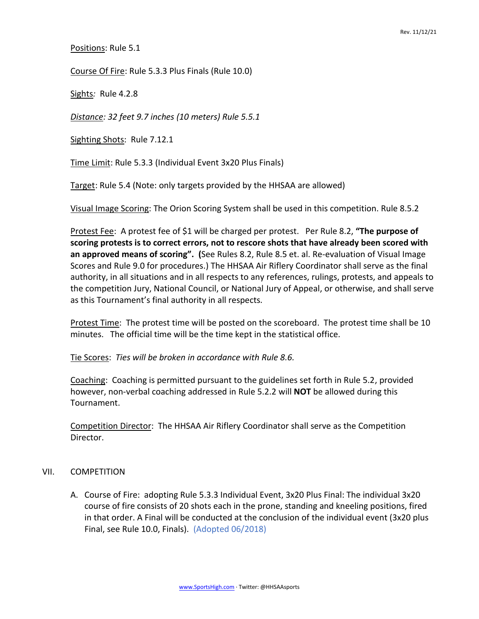Positions: Rule 5.1

Course Of Fire: Rule 5.3.3 Plus Finals (Rule 10.0)

Sights*:* Rule 4.2.8

*Distance: 32 feet 9.7 inches (10 meters) Rule 5.5.1*

Sighting Shots: Rule 7.12.1

Time Limit: Rule 5.3.3 (Individual Event 3x20 Plus Finals)

Target: Rule 5.4 (Note: only targets provided by the HHSAA are allowed)

Visual Image Scoring: The Orion Scoring System shall be used in this competition. Rule 8.5.2

Protest Fee: A protest fee of \$1 will be charged per protest. Per Rule 8.2, **"The purpose of scoring protests is to correct errors, not to rescore shots that have already been scored with an approved means of scoring". (**See Rules 8.2, Rule 8.5 et. al. Re-evaluation of Visual Image Scores and Rule 9.0 for procedures.) The HHSAA Air Riflery Coordinator shall serve as the final authority, in all situations and in all respects to any references, rulings, protests, and appeals to the competition Jury, National Council, or National Jury of Appeal, or otherwise, and shall serve as this Tournament's final authority in all respects*.*

Protest Time: The protest time will be posted on the scoreboard. The protest time shall be 10 minutes. The official time will be the time kept in the statistical office*.*

Tie Scores: *Ties will be broken in accordance with Rule 8.6.*

Coaching: Coaching is permitted pursuant to the guidelines set forth in Rule 5.2, provided however, non-verbal coaching addressed in Rule 5.2.2 will **NOT** be allowed during this Tournament.

Competition Director: The HHSAA Air Riflery Coordinator shall serve as the Competition Director.

### VII. COMPETITION

A. Course of Fire: adopting Rule 5.3.3 Individual Event, 3x20 Plus Final: The individual 3x20 course of fire consists of 20 shots each in the prone, standing and kneeling positions, fired in that order. A Final will be conducted at the conclusion of the individual event (3x20 plus Final, see Rule 10.0, Finals). (Adopted 06/2018)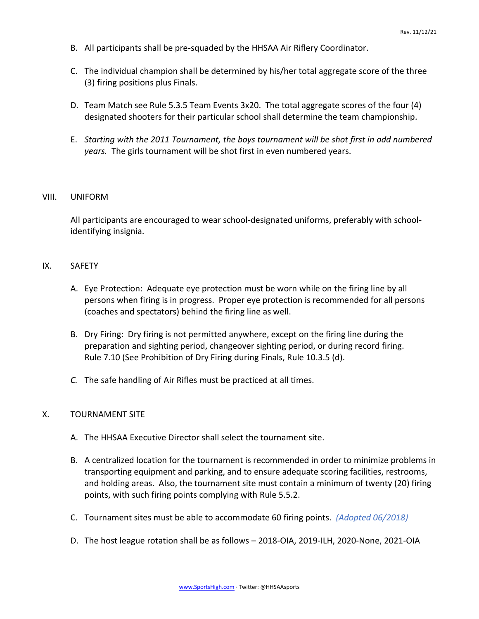- B. All participants shall be pre-squaded by the HHSAA Air Riflery Coordinator.
- C. The individual champion shall be determined by his/her total aggregate score of the three (3) firing positions plus Finals.
- D. Team Match see Rule 5.3.5 Team Events 3x20. The total aggregate scores of the four (4) designated shooters for their particular school shall determine the team championship*.*
- E. *Starting with the 2011 Tournament, the boys tournament will be shot first in odd numbered years.* The girls tournament will be shot first in even numbered years.

## VIII. UNIFORM

All participants are encouraged to wear school-designated uniforms, preferably with schoolidentifying insignia.

## IX. SAFETY

- A. Eye Protection: Adequate eye protection must be worn while on the firing line by all persons when firing is in progress. Proper eye protection is recommended for all persons (coaches and spectators) behind the firing line as well.
- B. Dry Firing: Dry firing is not permitted anywhere, except on the firing line during the preparation and sighting period, changeover sighting period, or during record firing. Rule 7.10 (See Prohibition of Dry Firing during Finals, Rule 10.3.5 (d).
- *C.* The safe handling of Air Rifles must be practiced at all times.

## X. TOURNAMENT SITE

- A. The HHSAA Executive Director shall select the tournament site.
- B. A centralized location for the tournament is recommended in order to minimize problems in transporting equipment and parking, and to ensure adequate scoring facilities, restrooms, and holding areas. Also, the tournament site must contain a minimum of twenty (20) firing points, with such firing points complying with Rule 5.5.2.
- C. Tournament sites must be able to accommodate 60 firing points. *(Adopted 06/2018)*
- D. The host league rotation shall be as follows 2018-OIA, 2019-ILH, 2020-None, 2021-OIA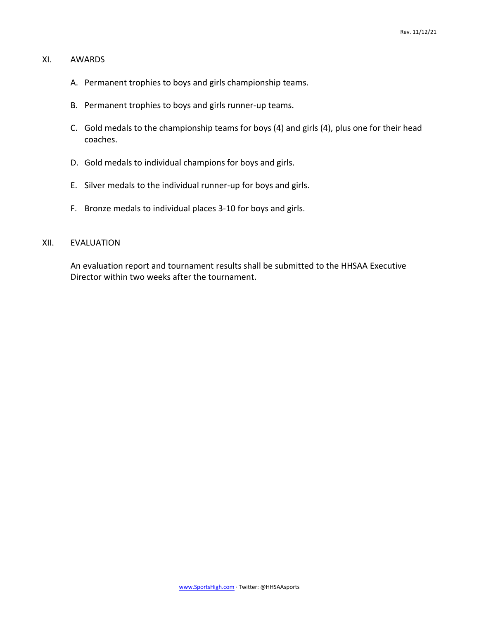## XI. AWARDS

- A. Permanent trophies to boys and girls championship teams.
- B. Permanent trophies to boys and girls runner-up teams.
- C. Gold medals to the championship teams for boys (4) and girls (4), plus one for their head coaches.
- D. Gold medals to individual champions for boys and girls.
- E. Silver medals to the individual runner-up for boys and girls.
- F. Bronze medals to individual places 3-10 for boys and girls.

# XII. EVALUATION

An evaluation report and tournament results shall be submitted to the HHSAA Executive Director within two weeks after the tournament.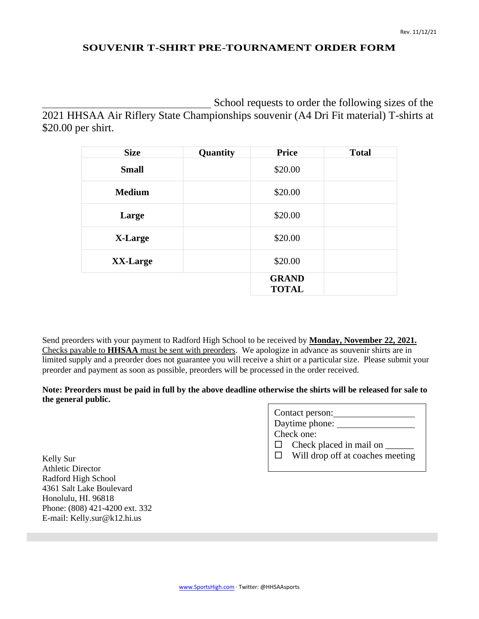## **SOUVENIR T-SHIRT PRE-TOURNAMENT ORDER FORM**

School requests to order the following sizes of the 2021 HHSAA Air Riflery State Championships souvenir (A4 Dri Fit material) T-shirts at \$20.00 per shirt.

| <b>Size</b>   | Quantity | <b>Price</b>                 | <b>Total</b> |
|---------------|----------|------------------------------|--------------|
| <b>Small</b>  |          | \$20.00                      |              |
| <b>Medium</b> |          | \$20.00                      |              |
| Large         |          | \$20.00                      |              |
| X-Large       |          | \$20.00                      |              |
| XX-Large      |          | \$20.00                      |              |
|               |          | <b>GRAND</b><br><b>TOTAL</b> |              |

Send preorders with your payment to Radford High School to be received by **Monday, November 22, 2021.** Checks payable to **HHSAA** must be sent with preorders. We apologize in advance as souvenir shirts are in limited supply and a preorder does not guarantee you will receive a shirt or a particular size. Please submit your preorder and payment as soon as possible, preorders will be processed in the order received.

## **Note: Preorders must be paid in full by the above deadline otherwise the shirts will be released for sale to the general public.**

|              | Contact person:                  |
|--------------|----------------------------------|
|              | Daytime phone:                   |
|              | Check one:                       |
| $\Box$       | Check placed in mail on          |
| $\mathbf{1}$ | Will drop off at coaches meeting |

Kelly Sur Athletic Director Radford High School 4361 Salt Lake Boulevard Honolulu, HI. 96818 Phone: (808) 421-4200 ext. 332 E-mail: Kelly.sur@k12.hi.us

[www.SportsHigh.com](http://www.sportshigh.com/) ∙ Twitter: @HHSAAsports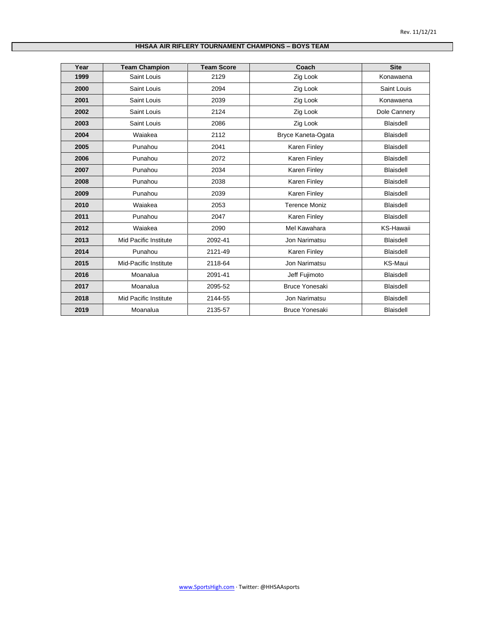## **HHSAA AIR RIFLERY TOURNAMENT CHAMPIONS – BOYS TEAM**

| Year | <b>Team Champion</b>  | <b>Team Score</b> | Coach                 | <b>Site</b>      |
|------|-----------------------|-------------------|-----------------------|------------------|
| 1999 | Saint Louis           | 2129              | Zig Look              | Konawaena        |
| 2000 | Saint Louis           | 2094              | Zig Look              | Saint Louis      |
| 2001 | Saint Louis           | 2039              | Zig Look              | Konawaena        |
| 2002 | Saint Louis           | 2124              | Zig Look              | Dole Cannery     |
| 2003 | Saint Louis           | 2086              | Zig Look              | <b>Blaisdell</b> |
| 2004 | Waiakea               | 2112              | Bryce Kaneta-Ogata    | <b>Blaisdell</b> |
| 2005 | Punahou               | 2041              | <b>Karen Finley</b>   | <b>Blaisdell</b> |
| 2006 | Punahou               | 2072              | Karen Finley          | <b>Blaisdell</b> |
| 2007 | Punahou               | 2034              | Karen Finley          | <b>Blaisdell</b> |
| 2008 | Punahou               | 2038              | Karen Finley          | <b>Blaisdell</b> |
| 2009 | Punahou               | 2039              | Karen Finley          | <b>Blaisdell</b> |
| 2010 | Waiakea               | 2053              | <b>Terence Moniz</b>  | <b>Blaisdell</b> |
| 2011 | Punahou               | 2047              | <b>Karen Finley</b>   | <b>Blaisdell</b> |
| 2012 | Waiakea               | 2090              | Mel Kawahara          | <b>KS-Hawaii</b> |
| 2013 | Mid Pacific Institute | 2092-41           | Jon Narimatsu         | <b>Blaisdell</b> |
| 2014 | Punahou               | 2121-49           | <b>Karen Finley</b>   | <b>Blaisdell</b> |
| 2015 | Mid-Pacific Institute | 2118-64           | Jon Narimatsu         | <b>KS-Maui</b>   |
| 2016 | Moanalua              | 2091-41           | Jeff Fujimoto         | <b>Blaisdell</b> |
| 2017 | Moanalua              | 2095-52           | <b>Bruce Yonesaki</b> | <b>Blaisdell</b> |
| 2018 | Mid Pacific Institute | 2144-55           | Jon Narimatsu         | <b>Blaisdell</b> |
| 2019 | Moanalua              | 2135-57           | <b>Bruce Yonesaki</b> | <b>Blaisdell</b> |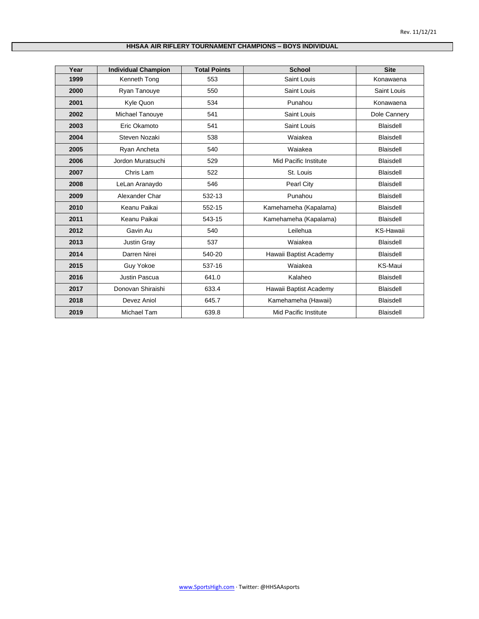## **HHSAA AIR RIFLERY TOURNAMENT CHAMPIONS – BOYS INDIVIDUAL**

| Year | <b>Individual Champion</b> | <b>Total Points</b> | <b>School</b>          | <b>Site</b>      |
|------|----------------------------|---------------------|------------------------|------------------|
| 1999 | Kenneth Tong               | 553                 | Saint Louis            | Konawaena        |
| 2000 | Ryan Tanouye               | 550                 | Saint Louis            | Saint Louis      |
| 2001 | Kyle Quon                  | 534                 | Punahou                | Konawaena        |
| 2002 | Michael Tanouye            | 541                 | Saint Louis            | Dole Cannery     |
| 2003 | Eric Okamoto               | 541                 | Saint Louis            | <b>Blaisdell</b> |
| 2004 | Steven Nozaki              | 538                 | Waiakea                | <b>Blaisdell</b> |
| 2005 | Ryan Ancheta               | 540                 | Waiakea                | <b>Blaisdell</b> |
| 2006 | Jordon Muratsuchi          | 529                 | Mid Pacific Institute  | <b>Blaisdell</b> |
| 2007 | Chris Lam                  | 522                 | St. Louis              | <b>Blaisdell</b> |
| 2008 | LeLan Aranaydo             | 546                 | Pearl City             | Blaisdell        |
| 2009 | Alexander Char             | 532-13              | Punahou                | <b>Blaisdell</b> |
| 2010 | Keanu Paikai               | 552-15              | Kamehameha (Kapalama)  | <b>Blaisdell</b> |
| 2011 | Keanu Paikai               | 543-15              | Kamehameha (Kapalama)  | <b>Blaisdell</b> |
| 2012 | Gavin Au                   | 540                 | Leilehua               | KS-Hawaii        |
| 2013 | <b>Justin Gray</b>         | 537                 | Waiakea                | <b>Blaisdell</b> |
| 2014 | Darren Nirei               | 540-20              | Hawaii Baptist Academy | <b>Blaisdell</b> |
| 2015 | Guy Yokoe                  | 537-16              | Waiakea                | KS-Maui          |
| 2016 | Justin Pascua              | 641.0               | Kalaheo                | <b>Blaisdell</b> |
| 2017 | Donovan Shiraishi          | 633.4               | Hawaii Baptist Academy | <b>Blaisdell</b> |
| 2018 | Devez Aniol                | 645.7               | Kamehameha (Hawaii)    | <b>Blaisdell</b> |
| 2019 | Michael Tam                | 639.8               | Mid Pacific Institute  | <b>Blaisdell</b> |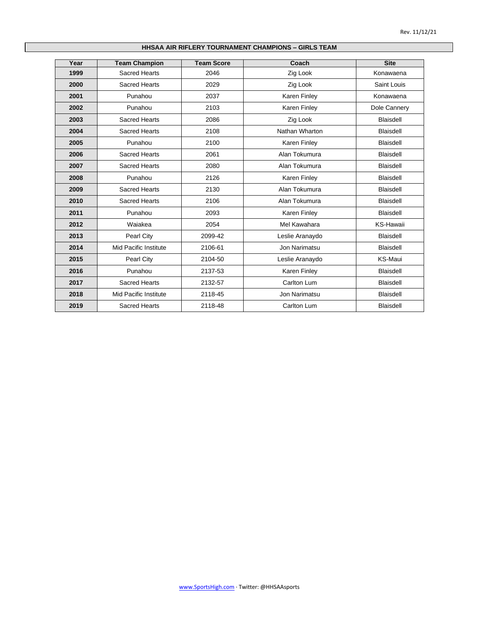## **HHSAA AIR RIFLERY TOURNAMENT CHAMPIONS – GIRLS TEAM**

| Year | <b>Team Champion</b>  | <b>Team Score</b> | Coach               | <b>Site</b>      |
|------|-----------------------|-------------------|---------------------|------------------|
| 1999 | Sacred Hearts         | 2046              | Zig Look            | Konawaena        |
| 2000 | <b>Sacred Hearts</b>  | 2029              | Zig Look            | Saint Louis      |
| 2001 | Punahou               | 2037              | Karen Finley        | Konawaena        |
| 2002 | Punahou               | 2103              | Karen Finley        | Dole Cannery     |
| 2003 | <b>Sacred Hearts</b>  | 2086              | Zig Look            | <b>Blaisdell</b> |
| 2004 | Sacred Hearts         | 2108              | Nathan Wharton      | Blaisdell        |
| 2005 | Punahou               | 2100              | Karen Finley        | <b>Blaisdell</b> |
| 2006 | Sacred Hearts         | 2061              | Alan Tokumura       | <b>Blaisdell</b> |
| 2007 | <b>Sacred Hearts</b>  | 2080              | Alan Tokumura       | Blaisdell        |
| 2008 | Punahou               | 2126              | Karen Finley        | <b>Blaisdell</b> |
| 2009 | <b>Sacred Hearts</b>  | 2130              | Alan Tokumura       | <b>Blaisdell</b> |
| 2010 | Sacred Hearts         | 2106              | Alan Tokumura       | Blaisdell        |
| 2011 | Punahou               | 2093              | <b>Karen Finley</b> | <b>Blaisdell</b> |
| 2012 | Waiakea               | 2054              | Mel Kawahara        | <b>KS-Hawaii</b> |
| 2013 | Pearl City            | 2099-42           | Leslie Aranaydo     | <b>Blaisdell</b> |
| 2014 | Mid Pacific Institute | 2106-61           | Jon Narimatsu       | <b>Blaisdell</b> |
| 2015 | Pearl City            | 2104-50           | Leslie Aranaydo     | KS-Maui          |
| 2016 | Punahou               | 2137-53           | Karen Finley        | <b>Blaisdell</b> |
| 2017 | <b>Sacred Hearts</b>  | 2132-57           | Carlton Lum         | <b>Blaisdell</b> |
| 2018 | Mid Pacific Institute | 2118-45           | Jon Narimatsu       | <b>Blaisdell</b> |
| 2019 | <b>Sacred Hearts</b>  | 2118-48           | Carlton Lum         | <b>Blaisdell</b> |